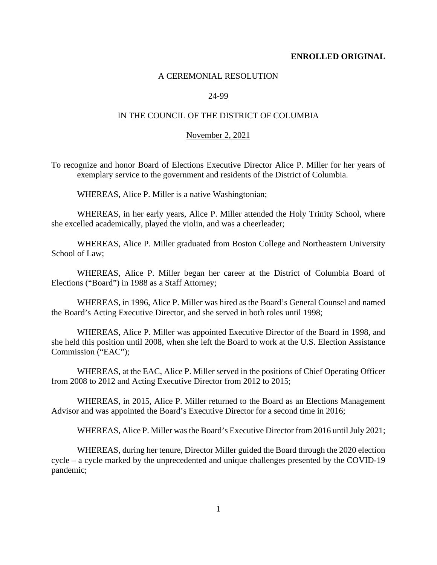#### **ENROLLED ORIGINAL**

## A CEREMONIAL RESOLUTION

## 24-99

# IN THE COUNCIL OF THE DISTRICT OF COLUMBIA

#### November 2, 2021

To recognize and honor Board of Elections Executive Director Alice P. Miller for her years of exemplary service to the government and residents of the District of Columbia.

WHEREAS, Alice P. Miller is a native Washingtonian;

WHEREAS, in her early years, Alice P. Miller attended the Holy Trinity School, where she excelled academically, played the violin, and was a cheerleader;

WHEREAS, Alice P. Miller graduated from Boston College and Northeastern University School of Law;

WHEREAS, Alice P. Miller began her career at the District of Columbia Board of Elections ("Board") in 1988 as a Staff Attorney;

WHEREAS, in 1996, Alice P. Miller was hired as the Board's General Counsel and named the Board's Acting Executive Director, and she served in both roles until 1998;

WHEREAS, Alice P. Miller was appointed Executive Director of the Board in 1998, and she held this position until 2008, when she left the Board to work at the U.S. Election Assistance Commission ("EAC");

WHEREAS, at the EAC, Alice P. Miller served in the positions of Chief Operating Officer from 2008 to 2012 and Acting Executive Director from 2012 to 2015;

WHEREAS, in 2015, Alice P. Miller returned to the Board as an Elections Management Advisor and was appointed the Board's Executive Director for a second time in 2016;

WHEREAS, Alice P. Miller was the Board's Executive Director from 2016 until July 2021;

WHEREAS, during her tenure, Director Miller guided the Board through the 2020 election cycle – a cycle marked by the unprecedented and unique challenges presented by the COVID-19 pandemic;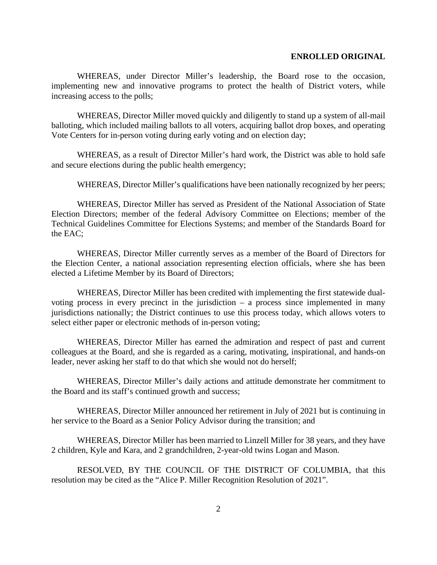#### **ENROLLED ORIGINAL**

WHEREAS, under Director Miller's leadership, the Board rose to the occasion, implementing new and innovative programs to protect the health of District voters, while increasing access to the polls;

WHEREAS, Director Miller moved quickly and diligently to stand up a system of all-mail balloting, which included mailing ballots to all voters, acquiring ballot drop boxes, and operating Vote Centers for in-person voting during early voting and on election day;

WHEREAS, as a result of Director Miller's hard work, the District was able to hold safe and secure elections during the public health emergency;

WHEREAS, Director Miller's qualifications have been nationally recognized by her peers;

WHEREAS, Director Miller has served as President of the National Association of State Election Directors; member of the federal Advisory Committee on Elections; member of the Technical Guidelines Committee for Elections Systems; and member of the Standards Board for the EAC;

WHEREAS, Director Miller currently serves as a member of the Board of Directors for the Election Center, a national association representing election officials, where she has been elected a Lifetime Member by its Board of Directors;

WHEREAS, Director Miller has been credited with implementing the first statewide dualvoting process in every precinct in the jurisdiction – a process since implemented in many jurisdictions nationally; the District continues to use this process today, which allows voters to select either paper or electronic methods of in-person voting;

WHEREAS, Director Miller has earned the admiration and respect of past and current colleagues at the Board, and she is regarded as a caring, motivating, inspirational, and hands-on leader, never asking her staff to do that which she would not do herself;

WHEREAS, Director Miller's daily actions and attitude demonstrate her commitment to the Board and its staff's continued growth and success;

WHEREAS, Director Miller announced her retirement in July of 2021 but is continuing in her service to the Board as a Senior Policy Advisor during the transition; and

WHEREAS, Director Miller has been married to Linzell Miller for 38 years, and they have 2 children, Kyle and Kara, and 2 grandchildren, 2-year-old twins Logan and Mason.

RESOLVED, BY THE COUNCIL OF THE DISTRICT OF COLUMBIA, that this resolution may be cited as the "Alice P. Miller Recognition Resolution of 2021".